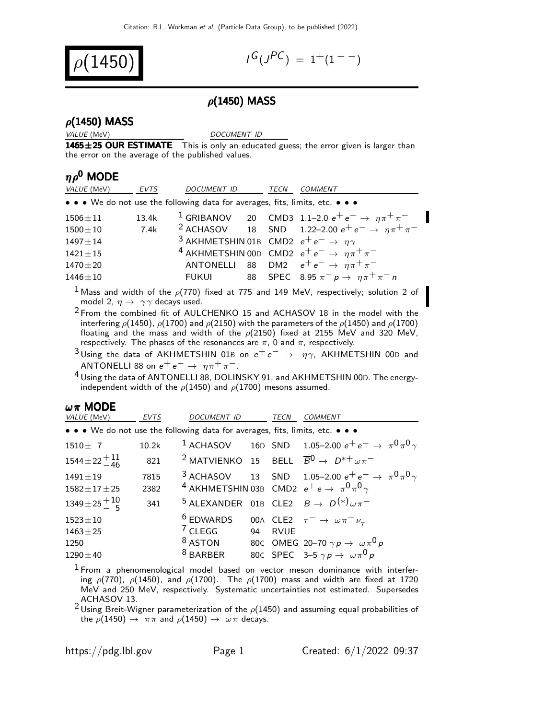

$$
I^G(J^{PC}) = 1^+(1^{--})
$$

## $\rho$ (1450) MASS

#### $\rho$ (1450) MASS

VALUE (MeV) DOCUMENT ID

1465±25 OUR ESTIMATE This is only an educated guess; the error given is larger than the error on the average of the published values.

### $n\rho^0$  MODE

| VALUE (MeV)                                                                   | <b>EVTS</b> | <i>DOCUMENT ID</i>                                                | <b>TECN</b> | COMMENT                                                                     |
|-------------------------------------------------------------------------------|-------------|-------------------------------------------------------------------|-------------|-----------------------------------------------------------------------------|
| • • • We do not use the following data for averages, fits, limits, etc. • • • |             |                                                                   |             |                                                                             |
| $1506 \pm 11$                                                                 | 13.4k       |                                                                   |             | <sup>1</sup> GRIBANOV 20 CMD3 1.1-2.0 $e^+e^- \rightarrow \eta \pi^+ \pi^-$ |
| $1500 \pm 10$                                                                 | 7.4k        |                                                                   |             | <sup>2</sup> ACHASOV 18 SND 1.22-2.00 $e^+e^- \rightarrow \eta \pi^+ \pi^-$ |
| $1497 + 14$                                                                   |             | <sup>3</sup> AKHMETSHIN 01B CMD2 $e^+e^- \rightarrow \eta \gamma$ |             |                                                                             |
| $1421 \pm 15$                                                                 |             |                                                                   |             | <sup>4</sup> AKHMETSHIN 00D CMD2 $e^+e^- \rightarrow \eta \pi^+ \pi^-$      |
| $1470 + 20$                                                                   |             |                                                                   |             | ANTONELLI 88 DM2 $e^+e^- \rightarrow \eta \pi^+ \pi^-$                      |
| $1446 \pm 10$                                                                 |             |                                                                   |             | FUKUI 88 SPEC 8.95 $\pi^- p \rightarrow \eta \pi^+ \pi^- n$                 |

<sup>1</sup> Mass and width of the  $\rho(770)$  fixed at 775 and 149 MeV, respectively; solution 2 of model 2,  $\eta \rightarrow \gamma \gamma$  decays used.

- $2$  From the combined fit of AULCHENKO 15 and ACHASOV 18 in the model with the interfering  $\rho$ (1450),  $\rho$ (1700) and  $\rho$ (2150) with the parameters of the  $\rho$ (1450) and  $\rho$ (1700) floating and the mass and width of the  $\rho$ (2150) fixed at 2155 MeV and 320 MeV, respectively. The phases of the resonances are  $\pi$ , 0 and  $\pi$ , respectively.
- <sup>3</sup> Using the data of AKHMETSHIN 01B on  $e^+e^- \rightarrow \eta \gamma$ , AKHMETSHIN 00D and ANTONELLI 88 on  $e^+e^- \rightarrow \eta \pi^+ \pi^-$ .
- 4 Using the data of ANTONELLI 88, DOLINSKY 91, and AKHMETSHIN 00D. The energyindependent width of the  $\rho$ (1450) and  $\rho$ (1700) mesons assumed.

#### $ωπ$  MODE

| <i>VALUE</i> (MeV)                                                            | <b>EVTS</b>  | DOCUMENT ID                                                                            |    | <b>TECN</b> | <b>COMMENT</b>                                                                                                                                  |
|-------------------------------------------------------------------------------|--------------|----------------------------------------------------------------------------------------|----|-------------|-------------------------------------------------------------------------------------------------------------------------------------------------|
| • • • We do not use the following data for averages, fits, limits, etc. • • • |              |                                                                                        |    |             |                                                                                                                                                 |
| $1510 \pm 7$                                                                  | 10.2k        |                                                                                        |    |             | <sup>1</sup> ACHASOV 16D SND 1.05-2.00 $e^+e^- \to \pi^0 \pi^0 \gamma$                                                                          |
| $1544 \pm 22 + 11$                                                            | 821          |                                                                                        |    |             | <sup>2</sup> MATVIENKO 15 BELL $\overline{B}^0 \rightarrow D^{*+} \omega \pi^-$                                                                 |
| $1491 \pm 19$<br>$1582 \pm 17 \pm 25$                                         | 7815<br>2382 |                                                                                        |    |             | <sup>3</sup> ACHASOV 13 SND 1.05-2.00 $e^+e^- \to \pi^0 \pi^0 \gamma$<br><sup>4</sup> AKHMETSHIN 03B CMD2 $e^+e \rightarrow \pi^0 \pi^0 \gamma$ |
| $1349\pm25\frac{+10}{-5}$                                                     | 341          |                                                                                        |    |             | <sup>5</sup> ALEXANDER 01B CLE2 $B \rightarrow D^{(*)} \omega \pi^-$                                                                            |
| $1523 \pm 10$<br>$1463 \pm 25$<br>1250                                        |              | <sup>6</sup> EDWARDS 00A CLE2 $\tau^- \rightarrow \omega \pi^- \nu_\tau$<br>$^7$ CLEGG | 94 | <b>RVUE</b> | <sup>8</sup> ASTON 80C OMEG 20-70 $\gamma p \rightarrow \omega \pi^0 p$                                                                         |
| $1290 \pm 40$                                                                 |              | <sup>8</sup> BARBER                                                                    |    |             | 80c SPEC 3-5 $\gamma p \rightarrow \omega \pi^0 p$                                                                                              |

 $1$  From a phenomenological model based on vector meson dominance with interfering  $\rho(770)$ ,  $\rho(1450)$ , and  $\rho(1700)$ . The  $\rho(1700)$  mass and width are fixed at 1720 MeV and 250 MeV, respectively. Systematic uncertainties not estimated. Supersedes ACHASOV 13.

2 Using Breit-Wigner parameterization of the  $\rho$ (1450) and assuming equal probabilities of the  $\rho(1450) \rightarrow \pi \pi$  and  $\rho(1450) \rightarrow \omega \pi$  decays.

I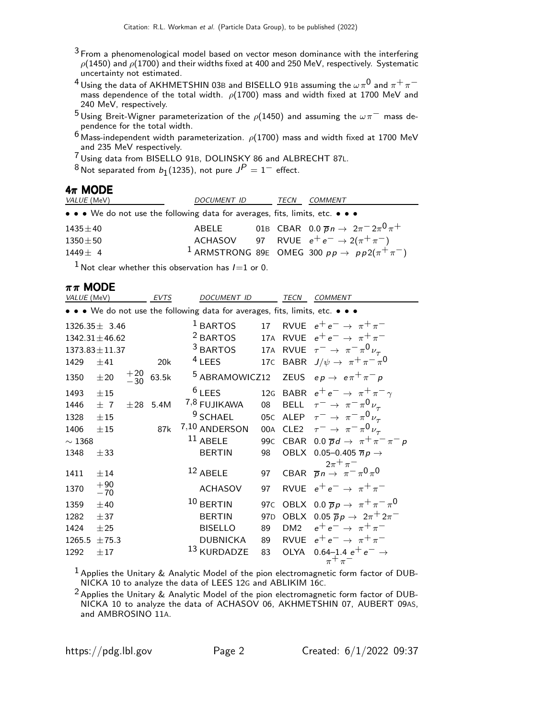- $3$  From a phenomenological model based on vector meson dominance with the interfering  $\rho$ (1450) and  $\rho$ (1700) and their widths fixed at 400 and 250 MeV, respectively. Systematic uncertainty not estimated.
- <sup>4</sup> Using the data of AKHMETSHIN 03B and BISELLO 91B assuming the  $\omega \pi^0$  and  $\pi^+ \pi^$ mass dependence of the total width.  $\rho(1700)$  mass and width fixed at 1700 MeV and 240 MeV, respectively.
- <sup>5</sup> Using Breit-Wigner parameterization of the  $\rho$ (1450) and assuming the  $\omega \pi^-$  mass dependence for the total width.
- $6$  Mass-independent width parameterization.  $\rho(1700)$  mass and width fixed at 1700 MeV and 235 MeV respectively.

7 Using data from BISELLO 91B, DOLINSKY 86 and ALBRECHT 87L.

 $^8$ Not separated from  $b_1$ (1235), not pure  $J^P=1^-$  effect.

#### $4\pi$  MODE

| <i>VALUE</i> (MeV)                                                            | DOCUMENT ID | TECN | <i>COMMENT</i>                                                           |
|-------------------------------------------------------------------------------|-------------|------|--------------------------------------------------------------------------|
| • • • We do not use the following data for averages, fits, limits, etc. • • • |             |      |                                                                          |
| $1435 \pm 40$                                                                 | ABELE       |      | 01B CBAR 0.0 $\overline{p}n \to 2\pi^{-} 2\pi^{0} \pi^{+}$               |
| $1350 \pm 50$                                                                 |             |      | ACHASOV 97 RVUE $e^+e^- \rightarrow 2(\pi^+\pi^-)$                       |
| $1449 + 4$                                                                    |             |      | <sup>1</sup> ARMSTRONG 89E OMEG 300 $pp \rightarrow pp2(\pi^{+}\pi^{-})$ |
|                                                                               |             |      |                                                                          |

 $1$  Not clear whether this observation has  $I = 1$  or 0.

#### $\pi \pi$  MODE

| VALUE (MeV)                                                                   |                     |                | <b>EVTS</b> | <b>DOCUMENT ID</b>        |                 | <b>TECN</b>     | <b>COMMENT</b>                                        |
|-------------------------------------------------------------------------------|---------------------|----------------|-------------|---------------------------|-----------------|-----------------|-------------------------------------------------------|
| • • • We do not use the following data for averages, fits, limits, etc. • • • |                     |                |             |                           |                 |                 |                                                       |
|                                                                               | $1326.35 \pm 3.46$  |                |             | $1$ BARTOS                | 17              |                 | RVUE $e^+e^- \rightarrow \pi^+\pi^-$                  |
|                                                                               | $1342.31 \pm 46.62$ |                |             | <sup>2</sup> BARTOS       | 17A             |                 | RVUE $e^+e^- \rightarrow \pi^+\pi^-$                  |
|                                                                               | $1373.83 \pm 11.37$ |                |             | $3$ BARTOS                | 17A             |                 | RVUE $\tau^- \rightarrow \pi^- \pi^0 \nu_{\tau}$      |
| 1429                                                                          | ±41                 |                | 20k         | $4$ LEES                  | 17 <sub>C</sub> |                 | BABR $J/\psi \rightarrow \pi^+ \pi^- \pi^0$           |
| 1350                                                                          | $\pm\,20$           | $^{+20}_{-30}$ | 63.5k       | <sup>5</sup> ABRAMOWICZ12 |                 |                 | ZEUS $ep \rightarrow e \pi^+ \pi^- p$                 |
| 1493                                                                          | ±15                 |                |             | $6$ LEES                  | 12G             |                 | BABR $e^+e^- \rightarrow \pi^+\pi^-\gamma$            |
| 1446                                                                          | ±7                  | $\pm 28$       | 5.4M        | 7,8 FUJIKAWA              | 08              |                 | BELL $\tau^- \to \pi^- \pi^0 \nu_\tau$                |
| 1328                                                                          | ±15                 |                |             | <sup>9</sup> SCHAEL       |                 |                 | 05C ALEP $\tau^- \rightarrow \pi^- \pi^0 \nu_\tau$    |
| 1406                                                                          | ±15                 |                | 87k         | 7,10 ANDERSON             |                 |                 | 00A CLE2 $\tau^- \rightarrow \pi^- \pi^0 \nu_\tau$    |
| $\sim 1368$                                                                   |                     |                |             | $11$ ABELE                | 99 <sub>C</sub> |                 | CBAR 0.0 $\overline{p}d \rightarrow \pi^+\pi^-\pi^-p$ |
| 1348                                                                          | ± 33                |                |             | <b>BERTIN</b>             | 98              |                 | OBLX 0.05-0.405 $\overline{n}p \rightarrow$           |
| 1411                                                                          | ±14                 |                |             | $12$ ABELE                | 97              |                 | CBAR $\overline{p}n \rightarrow \pi^{-} \pi^{-}$      |
| 1370                                                                          | $+90$<br>$-70$      |                |             | <b>ACHASOV</b>            | 97              |                 | RVUE $e^+e^- \rightarrow \pi^+\pi^-$                  |
| 1359                                                                          | ±40                 |                |             | $10$ BERTIN               | 97 <sub>C</sub> |                 | OBLX 0.0 $\overline{p}p \rightarrow \pi^+\pi^-\pi^0$  |
| 1282                                                                          | ± 37                |                |             | <b>BERTIN</b>             | 97 <sub>D</sub> |                 | OBLX 0.05 $\overline{p}p \rightarrow 2\pi^+ 2\pi^-$   |
| 1424                                                                          | $\pm 25$            |                |             | <b>BISELLO</b>            | 89              | DM <sub>2</sub> | $e^+e^- \rightarrow \pi^+\pi^-$                       |
| 1265.5                                                                        | ±75.3               |                |             | <b>DUBNICKA</b>           | 89              | <b>RVUE</b>     | $e^+e^- \rightarrow \pi^+\pi^-$                       |
| 1292                                                                          | ±17                 |                |             | <sup>13</sup> KURDADZE    | 83              | <b>OLYA</b>     | 0.64–1.4 $e^+e^- \rightarrow$                         |
|                                                                               |                     |                |             |                           |                 |                 | $\pi^+\pi^-$                                          |

1 Applies the Unitary & Analytic Model of the pion electromagnetic form factor of DUB-NICKA 10 to analyze the data of LEES 12G and ABLIKIM 16C.

<sup>2</sup> Applies the Unitary & Analytic Model of the pion electromagnetic form factor of DUB-NICKA 10 to analyze the data of ACHASOV 06, AKHMETSHIN 07, AUBERT 09AS, and AMBROSINO 11A.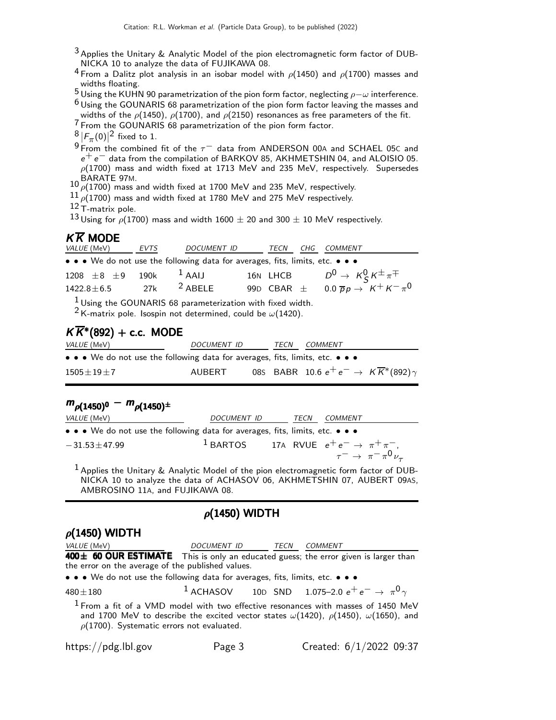- $3$  Applies the Unitary & Analytic Model of the pion electromagnetic form factor of DUB-NICKA 10 to analyze the data of FUJIKAWA 08.
- <sup>4</sup> From a Dalitz plot analysis in an isobar model with  $\rho$ (1450) and  $\rho$ (1700) masses and widths floating.
- <sup>5</sup> Using the KUHN 90 parametrization of the pion form factor, neglecting  $ρ-ω$  interference.
- $6$  Using the GOUNARIS 68 parametrization of the pion form factor leaving the masses and widths of the  $\rho$ (1450),  $\rho$ (1700), and  $\rho$ (2150) resonances as free parameters of the fit.
- 7 From the GOUNARIS 68 parametrization of the pion form factor.
- $\frac{8}{2}$   $|F_{\pi}(0)|^2$  fixed to 1.
- 9 From the combined fit of the  $\tau^-$  data from ANDERSON 00A and SCHAEL 05C and  $e^+e^-$  data from the compilation of BARKOV 85, AKHMETSHIN 04, and ALOISIO 05.  $\rho(1700)$  mass and width fixed at 1713 MeV and 235 MeV, respectively. Supersedes  $BARATE$  97M.
- $\rho(1700)$  mass and width fixed at 1700 MeV and 235 MeV, respectively.
- $\frac{11}{\rho(1700)}$  mass and width fixed at 1780 MeV and 275 MeV respectively.
- 12 T-matrix pole.

 $^{13}$  Using for  $\rho$ (1700) mass and width 1600  $\pm$  20 and 300  $\pm$  10 MeV respectively.

### $K\overline{K}$  MODF

| <i>VALUE</i> (MeV)                                                            | EVTS | DOCUMENT ID TECN |  | CHG COMMENT                                                  |
|-------------------------------------------------------------------------------|------|------------------|--|--------------------------------------------------------------|
| • • • We do not use the following data for averages, fits, limits, etc. • • • |      |                  |  |                                                              |
| 1208 $\pm 8$ $\pm 9$ 190k <sup>1</sup> AAIJ                                   |      |                  |  | 16N LHCB $D^0 \rightarrow K^0_S K^{\pm} \pi^{\mp}$           |
| $1422.8 \pm 6.5$ 27k <sup>2</sup> ABELE                                       |      |                  |  | 99D CBAR $\pm$ 0.0 $\overline{p}p \rightarrow K^+ K^- \pi^0$ |
| $\frac{1}{2}$                                                                 |      |                  |  |                                                              |

<sup>1</sup> Using the GOUNARIS 68 parameterization with fixed width.

<sup>2</sup> K-matrix pole. Isospin not determined, could be  $\omega(1420)$ .

## $K\overline{K}$ \*(892) + c.c. MODE

| <i>VALUE</i> (MeV)                                                            | <i>DOCUMENT ID</i> | TECN | <i>COMMENT</i>                                                |  |
|-------------------------------------------------------------------------------|--------------------|------|---------------------------------------------------------------|--|
| • • • We do not use the following data for averages, fits, limits, etc. • • • |                    |      |                                                               |  |
| $1505\pm19\pm7$                                                               | AUBERT             |      | 085 BABR 10.6 $e^+e^- \rightarrow K\overline{K}^*(892)\gamma$ |  |

# $m_{\rho(1450)^0} - m_{\rho(1450)^{\pm}}$

| <i>VALUE</i> (MeV)                                                            | <i>DOCUMENT ID</i> | TECN | <i>COMMENT</i>                                                                                           |
|-------------------------------------------------------------------------------|--------------------|------|----------------------------------------------------------------------------------------------------------|
| • • • We do not use the following data for averages, fits, limits, etc. • • • |                    |      |                                                                                                          |
| $-31.53 \pm 47.99$                                                            |                    |      | <sup>1</sup> BARTOS 17A RVUE $e^+e^- \rightarrow \pi^+\pi^-$<br>$\tau^ \rightarrow \pi^- \pi^0 \nu_\tau$ |

1 Applies the Unitary & Analytic Model of the pion electromagnetic form factor of DUB-NICKA 10 to analyze the data of ACHASOV 06, AKHMETSHIN 07, AUBERT 09AS, AMBROSINO 11A, and FUJIKAWA 08.

## $\rho$ (1450) WIDTH

#### $\rho$ (1450) WIDTH VALUE (MeV) DOCUMENT ID TECN COMMENT 400± 60 OUR ESTIMATE This is only an educated guess; the error given is larger than the error on the average of the published values. • • • We do not use the following data for averages, fits, limits, etc. • • • 480 $\pm$ 180  $^1$  ACHASOV 10<code>D</code> SND 1.075–2.0  $e^+$   $e^ \rightarrow$   $\pi^0 \gamma$  $1$  From a fit of a VMD model with two effective resonances with masses of 1450 MeV and 1700 MeV to describe the excited vector states  $\omega(1420)$ ,  $\rho(1450)$ ,  $\omega(1650)$ , and  $\rho(1700)$ . Systematic errors not evaluated.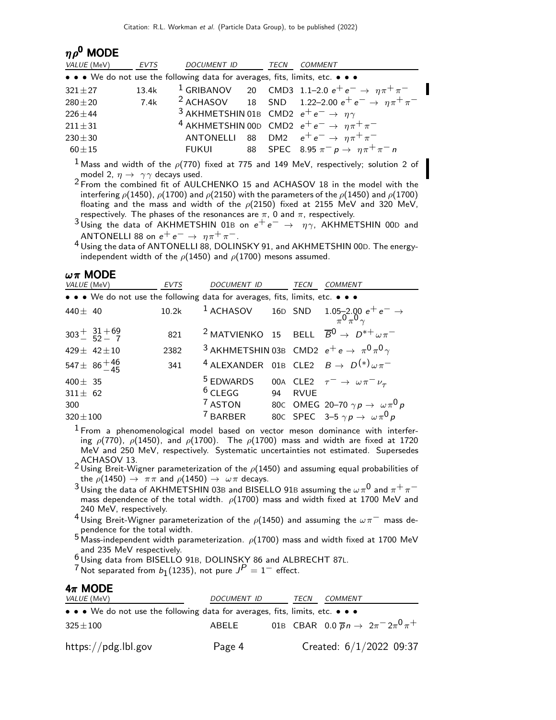| $\eta \rho^0$ MODE                                                            |             |                                                                   |      |                                                                             |
|-------------------------------------------------------------------------------|-------------|-------------------------------------------------------------------|------|-----------------------------------------------------------------------------|
| VALUE (MeV)                                                                   | <b>EVTS</b> | DOCUMENT ID                                                       | TECN | <b>COMMENT</b>                                                              |
| • • • We do not use the following data for averages, fits, limits, etc. • • • |             |                                                                   |      |                                                                             |
| $321 \pm 27$                                                                  | 13.4k       |                                                                   |      | <sup>1</sup> GRIBANOV 20 CMD3 1.1–2.0 $e^+e^- \rightarrow \eta \pi^+ \pi^-$ |
| $280 + 20$                                                                    | 7.4k        |                                                                   |      | <sup>2</sup> ACHASOV 18 SND 1.22-2.00 $e^+e^- \rightarrow \eta \pi^+ \pi^-$ |
| $226 \pm 44$                                                                  |             | <sup>3</sup> AKHMETSHIN 01B CMD2 $e^+e^- \rightarrow \eta \gamma$ |      |                                                                             |
| $211 \pm 31$                                                                  |             |                                                                   |      | <sup>4</sup> AKHMETSHIN 00D CMD2 $e^+e^- \rightarrow \eta \pi^+ \pi^-$      |
| $230 + 30$                                                                    |             |                                                                   |      | ANTONELLI 88 DM2 $e^+e^- \rightarrow \eta \pi^+ \pi^-$                      |
| $60\pm15$                                                                     |             | FUKUI                                                             |      | 88 SPEC 8.95 $\pi^- p \to \eta \pi^+ \pi^- n$                               |

<sup>1</sup> Mass and width of the  $\rho(770)$  fixed at 775 and 149 MeV, respectively; solution 2 of model 2,  $\eta \rightarrow \gamma \gamma$  decays used.

<sup>2</sup> From the combined fit of AULCHENKO 15 and ACHASOV 18 in the model with the interfering  $\rho$ (1450),  $\rho$ (1700) and  $\rho$ (2150) with the parameters of the  $\rho$ (1450) and  $\rho$ (1700) floating and the mass and width of the  $\rho(2150)$  fixed at 2155 MeV and 320 MeV, respectively. The phases of the resonances are  $\pi$ , 0 and  $\pi$ , respectively.

<sup>3</sup>Using the data of AKHMETSHIN 01B on  $e^+e^- \rightarrow \eta \gamma$ , AKHMETSHIN 00D and ANTONELLI 88 on  $e^+e^- \rightarrow \eta \pi^+ \pi^-$ .

<sup>4</sup> Using the data of ANTONELLI 88, DOLINSKY 91, and AKHMETSHIN 00D. The energyindependent width of the  $\rho$ (1450) and  $\rho$ (1700) mesons assumed.

| VALUE (MeV)   | $\omega$ $\pi$ MODE                                                           | EVTS  | <b>DOCUMENT ID</b>   | <b>TECN</b> | <b>COMMENT</b>                                                                  |
|---------------|-------------------------------------------------------------------------------|-------|----------------------|-------------|---------------------------------------------------------------------------------|
|               | • • • We do not use the following data for averages, fits, limits, etc. • • • |       |                      |             |                                                                                 |
|               |                                                                               |       |                      |             |                                                                                 |
| $440 + 40$    |                                                                               | 10.2k |                      |             | 1 ACHASOV 16D SND $1.05-2.00 e^+ e^- \rightarrow \pi^0 \pi^0 \gamma$            |
|               | $303^{+}$ $\frac{31+69}{52-7}$                                                | 821   |                      |             | <sup>2</sup> MATVIENKO 15 BELL $\overline{B}^0 \rightarrow D^{*+} \omega \pi^-$ |
|               |                                                                               |       |                      |             |                                                                                 |
|               | 429 ± 42 ± 10                                                                 | 2382  |                      |             | <sup>3</sup> AKHMETSHIN 03B CMD2 $e^+e \rightarrow \pi^0 \pi^0 \gamma$          |
|               | 547 ± $86^{+46}_{-45}$                                                        | 341   |                      |             | <sup>4</sup> ALEXANDER 01B CLE2 $B \rightarrow D^{(*)} \omega \pi^-$            |
| 400 $\pm$ 35  |                                                                               |       | <sup>5</sup> EDWARDS |             | 00A CLE2 $\tau^- \rightarrow \omega \pi^- \nu_\tau$                             |
| $311 \pm 62$  |                                                                               |       | $6$ CLEGG 94         | <b>RVUE</b> |                                                                                 |
| 300           |                                                                               |       | $7$ ASTON            |             | 80c OMEG 20-70 $\gamma p \rightarrow \omega \pi^0 p$                            |
| $320 \pm 100$ |                                                                               |       | 7 BARBER             |             | 80c SPEC 3-5 $\gamma p \rightarrow \omega \pi^0 p$                              |

 $1$  From a phenomenological model based on vector meson dominance with interfering  $\rho(770)$ ,  $\rho(1450)$ , and  $\rho(1700)$ . The  $\rho(1700)$  mass and width are fixed at 1720 MeV and 250 MeV, respectively. Systematic uncertainties not estimated. Supersedes 2 ACHASOV 13.<br><sup>2</sup> Using Breit-Wigner parameterization of the  $\rho$ (1450) and assuming equal probabilities of

the  $\rho(1450) \rightarrow \pi \pi$  and  $\rho(1450) \rightarrow \omega \pi$  decays.

3 Using the data of AKHMETSHIN 03B and BISELLO 91B assuming the  $\omega \pi^0$  and  $\pi^+ \pi^$ mass dependence of the total width.  $\rho(1700)$  mass and width fixed at 1700 MeV and 240 MeV, respectively.

4 Using Breit-Wigner parameterization of the  $\rho(1450)$  and assuming the  $\omega\pi^-$  mass dependence for the total width.

 $5$  Mass-independent width parameterization.  $\rho(1700)$  mass and width fixed at 1700 MeV and 235 MeV respectively.

 $\frac{6}{1}$ Using data from BISELLO 91B, DOLINSKY 86 and ALBRECHT 87L.

 $7$  Not separated from  $b_1(1235)$ , not pure  $J^P=1^-$  effect.

#### $4\pi$  MODE

| <i>VALUE</i> (MeV)                                                            | <i>DOCUMENT ID</i> | TECN | <i>COMMENT</i> |                                                       |
|-------------------------------------------------------------------------------|--------------------|------|----------------|-------------------------------------------------------|
| • • • We do not use the following data for averages, fits, limits, etc. • • • |                    |      |                |                                                       |
| $325 \pm 100$                                                                 | ABELE              |      |                | 01B CBAR 0.0 $\bar{p}n \to 2\pi^{-} 2\pi^{0} \pi^{+}$ |
| https://pdg.lbl.gov                                                           | Page 4             |      |                | Created: $6/1/2022$ 09:37                             |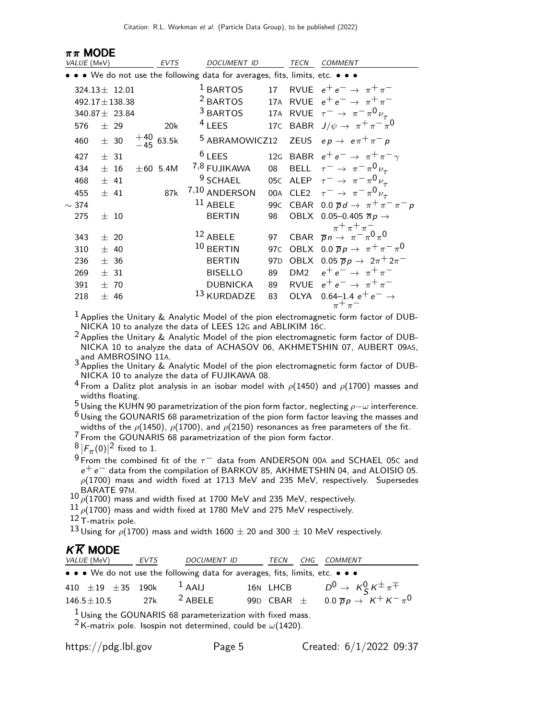| $\pi\pi$ MODE |                    |                |               |                                                                               |                 |      |                                                                                                        |
|---------------|--------------------|----------------|---------------|-------------------------------------------------------------------------------|-----------------|------|--------------------------------------------------------------------------------------------------------|
| VALUE (MeV)   |                    |                | <b>EVTS</b>   | <b>DOCUMENT ID</b>                                                            |                 | TECN | <b>COMMENT</b>                                                                                         |
|               |                    |                |               | • • • We do not use the following data for averages, fits, limits, etc. • • • |                 |      |                                                                                                        |
|               | $324.13 \pm 12.01$ |                |               | $1$ BARTOS                                                                    | 17              |      | RVUE $e^+e^- \rightarrow \pi^+\pi^-$                                                                   |
|               | 492.17 ± 138.38    |                |               | <sup>2</sup> BARTOS                                                           |                 |      | 17A RVUE $e^+e^- \rightarrow \pi^+\pi^-$                                                               |
|               | 340.87 ± 23.84     |                |               | <sup>3</sup> BARTOS                                                           |                 |      | 17A RVUE $\tau^- \rightarrow \pi^- \pi^0 \nu_{\tau}$                                                   |
| 576           | $±$ 29             |                | 20k           | $4$ LEES                                                                      |                 |      | 17C BABR $J/\psi \rightarrow \pi^+ \pi^- \pi^0$                                                        |
| 460           | ± 30               | $^{+40}_{-45}$ | 63.5k         | <sup>5</sup> ABRAMOWICZ12                                                     |                 |      | ZEUS $ep \rightarrow e \pi^+ \pi^- p$                                                                  |
| 427           | ± 31               |                |               | $6$ LEES                                                                      |                 |      | 12G BABR $e^+e^- \rightarrow \pi^+\pi^-\gamma$                                                         |
| 434           | ±16                |                | $\pm 60$ 5.4M | 7,8 FUJIKAWA                                                                  | 08              |      | BELL $\tau^- \to \pi^- \pi^0 \nu_\tau$                                                                 |
| 468           | ± 41               |                |               | <sup>9</sup> SCHAEL                                                           |                 |      | 05C ALEP $\tau^- \rightarrow \pi^- \pi^0 \nu_{\tau}$                                                   |
| 455           | ± 41               |                | 87k           | 7,10 ANDERSON                                                                 |                 |      | 00A CLE2 $\tau^- \rightarrow \pi^- \pi^0 \nu_\tau$                                                     |
| $\sim$ 374    |                    |                |               | $11$ ABELE                                                                    |                 |      | 99C CBAR 0.0 $\overline{p}d \rightarrow \pi^+\pi^-\pi^-p$                                              |
| 275           | ±10                |                |               | <b>BERTIN</b>                                                                 | 98              |      | OBLX 0.05-0.405 $\overline{n}p \rightarrow$                                                            |
| 343           | ± 20               |                |               | $12$ ABELE                                                                    | 97              |      | $\pi$ <sup>+</sup> $\pi$ <sup>+</sup> $\pi$ <sup>-</sup><br>CBAR $\overline{p}n \to \pi^- \pi^0 \pi^0$ |
| 310           | ± 40               |                |               | $10$ BERTIN                                                                   | 97 <sub>C</sub> |      | OBLX 0.0 $\overline{p}p \rightarrow \pi^+\pi^-\pi^0$                                                   |
| 236           | ± 36               |                |               | <b>BERTIN</b>                                                                 | 97 <sub>D</sub> |      | OBLX 0.05 $\overline{p}p \rightarrow 2\pi^+ 2\pi^-$                                                    |
| 269           | ± 31               |                |               | <b>BISELLO</b>                                                                | 89              |      | DM2 $e^+e^- \rightarrow \pi^+\pi^-$                                                                    |
| 391           | ±70                |                |               | <b>DUBNICKA</b>                                                               | 89              |      | RVUE $e^+e^- \rightarrow \pi^+\pi^-$                                                                   |
| 218           | $+ 46$             |                |               | <sup>13</sup> KURDADZE                                                        | 83              |      | OLYA 0.64-1.4 $e^+e^- \rightarrow$                                                                     |
|               |                    |                |               |                                                                               |                 |      | $\pi^+\pi^-$                                                                                           |

 $1$  Applies the Unitary & Analytic Model of the pion electromagnetic form factor of DUB-NICKA 10 to analyze the data of LEES 12G and ABLIKIM 16C.

2 Applies the Unitary & Analytic Model of the pion electromagnetic form factor of DUB-<br>2 Applies the Unitary & Analytic Model of the pion electromagnetic form factor of DUB-NICKA 10 to analyze the data of ACHASOV 06, AKHMETSHIN 07, AUBERT 09AS,

and AMBROSINO 11A.<br><sup>3</sup> Applies the Unitary & Analytic Model of the pion electromagnetic form factor of DUB-NICKA 10 to analyze the data of FUJIKAWA 08.

<sup>4</sup> From a Dalitz plot analysis in an isobar model with  $\rho$ (1450) and  $\rho$ (1700) masses and widths floating.

5 Using the KUHN 90 parametrization of the pion form factor, neglecting  $\rho-\omega$  interference.

 $6$  Using the GOUNARIS 68 parametrization of the pion form factor leaving the masses and widths of the  $\rho$ (1450),  $\rho$ (1700), and  $\rho$ (2150) resonances as free parameters of the fit.

7 From the GOUNARIS 68 parametrization of the pion form factor.

 $\frac{8}{\Omega}$   $|F_{\pi}(0)|^2$  fixed to 1.

 $9$  From the combined fit of the  $\tau^-$  data from ANDERSON 00A and SCHAEL 05C and e+ e− data from the compilation of BARKOV 85, AKHMETSHIN 04, and ALOISIO 05.  $\rho(1700)$  mass and width fixed at 1713 MeV and 235 MeV, respectively. Supersedes

 $^{10}$  BARATE 97M.<br> $^{10}$   $\rho(1700)$  mass and width fixed at 1700 MeV and 235 MeV, respectively.

 $11\rho(1700)$  mass and width fixed at 1780 MeV and 275 MeV respectively.

 $12$  T-matrix pole.

 $^{13}$  Using for  $\rho$ (1700) mass and width 1600  $\pm$  20 and 300  $\pm$  10 MeV respectively.

#### $K\overline{K}$  MODE

| <i>VALUE</i> (MeV)                                                            | EVTS | DOCUMENT ID TECN |  | CHG COMMENT                                                  |
|-------------------------------------------------------------------------------|------|------------------|--|--------------------------------------------------------------|
| • • • We do not use the following data for averages, fits, limits, etc. • • • |      |                  |  |                                                              |
| 410 $\pm$ 19 $\pm$ 35 190k <sup>1</sup> AAIJ                                  |      |                  |  | 16N LHCB $D^0 \rightarrow K_S^0 K^{\pm} \pi^{\mp}$           |
| $146.5 \pm 10.5$ 27k <sup>2</sup> ABELE                                       |      |                  |  | 99D CBAR $\pm$ 0.0 $\overline{p}p \rightarrow K^+ K^- \pi^0$ |
| $\frac{1}{2}$ Using the GOUNARIS 68 parameterization with fixed mass.         |      |                  |  |                                                              |

<sup>2</sup> K-matrix pole. Isospin not determined, could be  $\omega(1420)$ .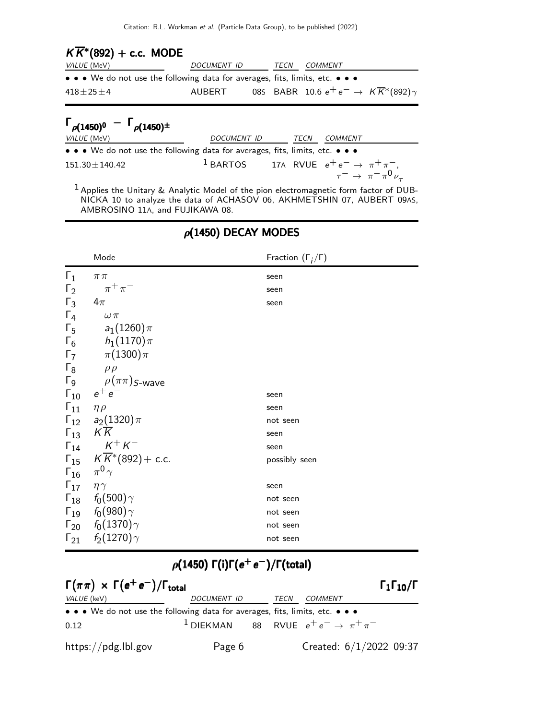| $K\overline{K}$ *(892) + c.c. MODE                                            |             |      |                                                               |  |
|-------------------------------------------------------------------------------|-------------|------|---------------------------------------------------------------|--|
| <i>VALUE</i> (MeV)                                                            | DOCUMENT ID | TECN | <i>COMMENT</i>                                                |  |
| • • • We do not use the following data for averages, fits, limits, etc. • • • |             |      |                                                               |  |
| $418 \pm 25 \pm 4$                                                            | AUBERT      |      | 085 BABR 10.6 $e^+e^- \rightarrow K\overline{K}^*(892)\gamma$ |  |

| $\Gamma_{\rho(1450)^0} - \Gamma_{\rho(1450)^{\pm}}$                           |             |      |                                                                                                            |
|-------------------------------------------------------------------------------|-------------|------|------------------------------------------------------------------------------------------------------------|
| <i>VALUE</i> (MeV)                                                            | DOCUMENT ID | TECN | COMMENT                                                                                                    |
| • • • We do not use the following data for averages, fits, limits, etc. • • • |             |      |                                                                                                            |
| $151.30 \pm 140.42$                                                           |             |      | <sup>1</sup> BARTOS 17A RVUE $e^+e^- \rightarrow \pi^+\pi^-,$<br>$\tau^- \rightarrow \pi^-\pi^0\nu_{\tau}$ |
|                                                                               |             |      |                                                                                                            |

 $1$  Applies the Unitary & Analytic Model of the pion electromagnetic form factor of DUB-NICKA 10 to analyze the data of ACHASOV 06, AKHMETSHIN 07, AUBERT 09AS, AMBROSINO 11A, and FUJIKAWA 08.

|                               | Mode                                                    | Fraction $(\Gamma_i/\Gamma)$ |
|-------------------------------|---------------------------------------------------------|------------------------------|
| $\Gamma_1$                    | $\pi\pi$                                                | seen                         |
| $\Gamma_2$                    | $\pi^+\pi^-$                                            | seen                         |
| $\Gamma_3$ 4 $\pi$            |                                                         | seen                         |
| $\Gamma_4$                    | $\omega \, \pi$                                         |                              |
|                               | $\Gamma_5$ $a_1(1260)\pi$                               |                              |
|                               | $\Gamma_6$ $h_1(1170)\pi$                               |                              |
|                               | $\Gamma_7 \qquad \pi(1300)\pi$                          |                              |
|                               | $\Gamma_8$ $\rho \rho$                                  |                              |
|                               | $\Gamma_9$ $\rho(\pi\pi)$ <sub>S-Wave</sub>             |                              |
|                               | $\Gamma_{10}$ $e^+e^-$                                  | seen                         |
| $\Gamma_{11}$ – $\eta\rho$    |                                                         | seen                         |
|                               | $\Gamma_{12}$ $a_2(1320)\pi$                            | not seen                     |
| $\Gamma_{13}$ $K\overline{K}$ |                                                         | seen                         |
|                               | $\Gamma_{14}$ $K^+ K^-$                                 | seen                         |
|                               | $\Gamma_{15}$ $K\overline{K}$ <sup>*</sup> (892) + c.c. | possibly seen                |
| $\Gamma_{16}$ $\pi^0 \gamma$  |                                                         |                              |
| $\Gamma_{17}$ $\eta \gamma$   |                                                         | seen                         |
|                               | $\Gamma_{18}$ $f_0(500)\gamma$                          | not seen                     |
|                               | $\Gamma_{19}$ $f_0(980)\gamma$                          | not seen                     |
|                               | $\Gamma_{20}$ $f_0(1370)\gamma$                         | not seen                     |
|                               | $\Gamma_{21}$ $f_2(1270)\gamma$                         | not seen                     |

## $\rho$ (1450) DECAY MODES

## $\rho(1450)$   $\Gamma(i)\Gamma(e^+e^-)/\Gamma(\text{total})$

| $\Gamma(\pi\pi) \times \Gamma(e^+e^-)/\Gamma_{\text{total}}$                                                          |                                                              |      |                           | $\Gamma_1\Gamma_{10}/\Gamma$ |
|-----------------------------------------------------------------------------------------------------------------------|--------------------------------------------------------------|------|---------------------------|------------------------------|
| VALUE (keV)                                                                                                           | <i>DOCUMENT ID</i>                                           | TECN | COMMENT                   |                              |
| $\bullet \bullet \bullet$ We do not use the following data for averages, fits, limits, etc. $\bullet \bullet \bullet$ |                                                              |      |                           |                              |
| 0.12                                                                                                                  | <sup>1</sup> DIEKMAN 88 RVUE $e^+e^- \rightarrow \pi^+\pi^-$ |      |                           |                              |
| $\frac{h}{\text{https://pdg.lbl.gov}}$                                                                                | Page 6                                                       |      | Created: $6/1/2022$ 09:37 |                              |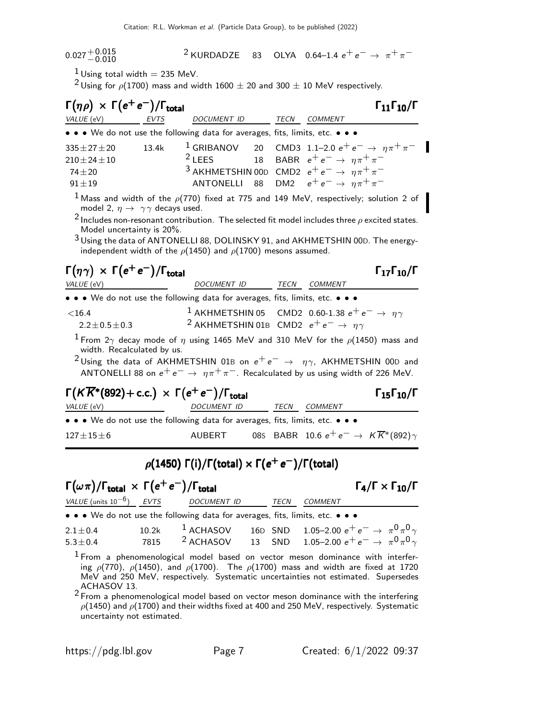$0.027 {+ 0.015\atop - 0.010}$ <sup>2</sup> KURDADZE 83 OLYA 0.64–1.4  $e^+e^- \rightarrow \pi^+\pi^-$ 

 $1$  Using total width  $=$  235 MeV.

<sup>2</sup> Using for  $\rho$ (1700) mass and width 1600  $\pm$  20 and 300  $\pm$  10 MeV respectively.

| $\Gamma(\eta \rho) \times \Gamma(e^+e^-)/\Gamma_{\text{total}}$                            |       |                                                                                                                                                                                                                                                                                                                                                                                                |    |                                                               | $\Gamma_{11}\Gamma_{10}/\Gamma$ |
|--------------------------------------------------------------------------------------------|-------|------------------------------------------------------------------------------------------------------------------------------------------------------------------------------------------------------------------------------------------------------------------------------------------------------------------------------------------------------------------------------------------------|----|---------------------------------------------------------------|---------------------------------|
| VALUE (eV)                                                                                 | EVTS  | DOCUMENT ID                                                                                                                                                                                                                                                                                                                                                                                    |    | TECN COMMENT                                                  |                                 |
| • • • We do not use the following data for averages, fits, limits, etc. • • •              |       |                                                                                                                                                                                                                                                                                                                                                                                                |    |                                                               |                                 |
| $335 \pm 27 \pm 20$                                                                        | 13.4k | $^1$ GRIBANOV                                                                                                                                                                                                                                                                                                                                                                                  | 20 | CMD3 1.1-2.0 $e^+e^- \rightarrow \eta \pi^+ \pi^-$            |                                 |
| $210 \pm 24 \pm 10$                                                                        |       | $2$ LEES                                                                                                                                                                                                                                                                                                                                                                                       | 18 | BABR $e^+e^- \rightarrow \eta \pi^+ \pi^-$                    |                                 |
| $74 + 20$                                                                                  |       | <sup>3</sup> AKHMETSHIN 00D CMD2 $e^+e^- \rightarrow \eta \pi^+ \pi^-$                                                                                                                                                                                                                                                                                                                         |    |                                                               |                                 |
| $91 \pm 19$                                                                                |       | <b>ANTONELLI</b>                                                                                                                                                                                                                                                                                                                                                                               | 88 | DM2 $e^+e^- \rightarrow n\pi^+\pi^-$                          |                                 |
| model 2, $\eta \rightarrow \gamma \gamma$ decays used.<br>Model uncertainty is 20%.        |       | <sup>1</sup> Mass and width of the $\rho(770)$ fixed at 775 and 149 MeV, respectively; solution 2 of<br><sup>2</sup> Includes non-resonant contribution. The selected fit model includes three $\rho$ excited states.<br><sup>3</sup> Using the data of ANTONELLI 88, DOLINSKY 91, and AKHMETSHIN 00D. The energy-<br>independent width of the $\rho$ (1450) and $\rho$ (1700) mesons assumed. |    |                                                               |                                 |
| $\Gamma(\eta \gamma) \times \Gamma(e^+e^-)/\Gamma_{\rm total}$<br>VALUE (eV)               |       | <b>DOCUMENT ID</b>                                                                                                                                                                                                                                                                                                                                                                             |    | TECN COMMENT                                                  | $\Gamma_{17}\Gamma_{10}/\Gamma$ |
| • • • We do not use the following data for averages, fits, limits, etc. • • •              |       |                                                                                                                                                                                                                                                                                                                                                                                                |    |                                                               |                                 |
| $<$ 16.4<br>$2.2 \pm 0.5 \pm 0.3$                                                          |       | <sup>1</sup> AKHMETSHIN 05 CMD2 0.60-1.38 $e^+e^- \rightarrow \eta \gamma$<br><sup>2</sup> AKHMETSHIN 01B CMD2 $e^+e^- \rightarrow \eta \gamma$                                                                                                                                                                                                                                                |    |                                                               |                                 |
| width. Recalculated by us.                                                                 |       | <sup>1</sup> From 2 $\gamma$ decay mode of $\eta$ using 1465 MeV and 310 MeV for the $\rho(1450)$ mass and<br><sup>2</sup> Using the data of AKHMETSHIN 01B on $e^+e^- \rightarrow \eta \gamma$ , AKHMETSHIN 00D and<br>ANTONELLI 88 on $e^+e^- \rightarrow \eta \pi^+ \pi^-$ . Recalculated by us using width of 226 MeV.                                                                     |    |                                                               |                                 |
| $\Gamma(K\overline{K}^*(892)+c.c.) \times \Gamma(e^+e^-)/\Gamma_{\rm total}$<br>VALUE (eV) |       | <b>DOCUMENT ID</b>                                                                                                                                                                                                                                                                                                                                                                             |    | TECN COMMENT                                                  | $\Gamma_{15}\Gamma_{10}/\Gamma$ |
| • • • We do not use the following data for averages, fits, limits, etc. • • •              |       |                                                                                                                                                                                                                                                                                                                                                                                                |    |                                                               |                                 |
| $127 \pm 15 \pm 6$                                                                         |       | AUBERT                                                                                                                                                                                                                                                                                                                                                                                         |    | 085 BABR 10.6 $e^+e^- \rightarrow K\overline{K}^*(892)\gamma$ |                                 |

## $\rho(1450)$   $\Gamma(i)/\Gamma(\text{total})\times \Gamma(e^+e^-)/\Gamma(\text{total})$

## $\Gamma(\omega \pi)/\Gamma_{\rm total} \, \times \, \Gamma(e^+e^-)/\Gamma_{\rm total}$  Γ  $_4/\Gamma \times \Gamma_{10}/\Gamma$

 $\Gamma_4/\Gamma \times \Gamma_{10}/\Gamma$ 

| VALUE (units $10^{-6}$ ) EVTS | DOCUMENT ID                                                                                                           | TECN | COMMENT                                                                            |
|-------------------------------|-----------------------------------------------------------------------------------------------------------------------|------|------------------------------------------------------------------------------------|
|                               | $\bullet \bullet \bullet$ We do not use the following data for averages, fits, limits, etc. $\bullet \bullet \bullet$ |      |                                                                                    |
| $2.1 \pm 0.4$                 |                                                                                                                       |      | 10.2k <sup>1</sup> ACHASOV 16D SND 1.05-2.00 $e^+e^- \rightarrow \pi^0\pi^0\gamma$ |
| $5.3 \pm 0.4$                 | $7815$ $2$ ACHASOV                                                                                                    |      | 13 SND 1.05-2.00 $e^+e^- \rightarrow \pi^0 \pi^0 \gamma$                           |

 $1$  From a phenomenological model based on vector meson dominance with interfering  $\rho(770)$ ,  $\rho(1450)$ , and  $\rho(1700)$ . The  $\rho(1700)$  mass and width are fixed at 1720 MeV and 250 MeV, respectively. Systematic uncertainties not estimated. Supersedes ACHASOV 13.

 $2$  From a phenomenological model based on vector meson dominance with the interfering  $\rho(1450)$  and  $\rho(1700)$  and their widths fixed at 400 and 250 MeV, respectively. Systematic uncertainty not estimated.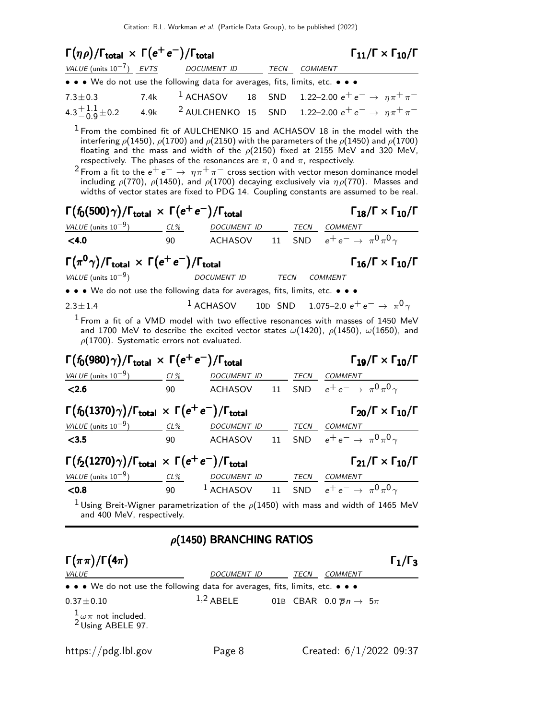| $\Gamma(\eta \rho)/\Gamma_{\rm total} \times \Gamma(e^+e^-)/\Gamma_{\rm total}$                                           |                          |  |                                                                                              |  |    |              |                | $\Gamma_{11}/\Gamma \times \Gamma_{10}/\Gamma$                                                                                                                                                                                                                                                                                                                                                                                                                                                                                                                                                                                           |
|---------------------------------------------------------------------------------------------------------------------------|--------------------------|--|----------------------------------------------------------------------------------------------|--|----|--------------|----------------|------------------------------------------------------------------------------------------------------------------------------------------------------------------------------------------------------------------------------------------------------------------------------------------------------------------------------------------------------------------------------------------------------------------------------------------------------------------------------------------------------------------------------------------------------------------------------------------------------------------------------------------|
| VALUE (units $10^{-7}$ ) EVTS                                                                                             |                          |  | DOCUMENT ID                                                                                  |  |    | TECN COMMENT |                |                                                                                                                                                                                                                                                                                                                                                                                                                                                                                                                                                                                                                                          |
| • • • We do not use the following data for averages, fits, limits, etc. • • •                                             |                          |  |                                                                                              |  |    |              |                |                                                                                                                                                                                                                                                                                                                                                                                                                                                                                                                                                                                                                                          |
| $7.3 \pm 0.3$                                                                                                             | 7.4k                     |  | $1$ ACHASOV                                                                                  |  |    |              |                | 18 SND 1.22-2.00 $e^+e^- \rightarrow \eta \pi^+ \pi^-$                                                                                                                                                                                                                                                                                                                                                                                                                                                                                                                                                                                   |
| 4.3 $\pm$ 1.1 $\pm$ 0.2                                                                                                   | 4.9k                     |  | $^2$ AULCHENKO $\,$ 15                                                                       |  |    |              |                | SND 1.22-2.00 $e^+e^- \rightarrow \eta \pi^+ \pi^-$                                                                                                                                                                                                                                                                                                                                                                                                                                                                                                                                                                                      |
| respectively. The phases of the resonances are $\pi$ , 0 and $\pi$ , respectively.                                        |                          |  |                                                                                              |  |    |              |                | <sup>1</sup> From the combined fit of AULCHENKO 15 and ACHASOV 18 in the model with the<br>interfering $\rho$ (1450), $\rho$ (1700) and $\rho$ (2150) with the parameters of the $\rho$ (1450) and $\rho$ (1700)<br>floating and the mass and width of the $\rho(2150)$ fixed at 2155 MeV and 320 MeV,<br><sup>2</sup> From a fit to the $e^+e^-\rightarrow~\eta\pi^+\pi^-$ cross section with vector meson dominance model<br>including $\rho(770)$ , $\rho(1450)$ , and $\rho(1700)$ decaying exclusively via $\eta \rho(770)$ . Masses and<br>widths of vector states are fixed to PDG 14. Coupling constants are assumed to be real. |
| $\Gamma(f_0(500)\gamma)/\Gamma_{\rm total} \times \Gamma(e^+e^-)/\Gamma_{\rm total}$                                      |                          |  |                                                                                              |  |    |              |                | $\Gamma_{18}/\Gamma \times \Gamma_{10}/\Gamma$                                                                                                                                                                                                                                                                                                                                                                                                                                                                                                                                                                                           |
| VALUE (units $10^{-9}$ ) CL%                                                                                              |                          |  | DOCUMENT ID TECN                                                                             |  |    |              | <i>COMMENT</i> |                                                                                                                                                                                                                                                                                                                                                                                                                                                                                                                                                                                                                                          |
| < 4.0                                                                                                                     | 90                       |  | <b>ACHASOV</b>                                                                               |  | 11 |              |                | SND $e^+e^- \rightarrow \pi^0 \pi^0 \gamma$                                                                                                                                                                                                                                                                                                                                                                                                                                                                                                                                                                                              |
| $\Gamma(\pi^0\gamma)/\Gamma_{\rm total}\,\times\,\Gamma(e^+\,e^-)/\Gamma_{\rm total}$<br>VALUE (units $10^{-9}$ )         | $\overline{\phantom{a}}$ |  | <b>DOCUMENT ID</b>                                                                           |  |    | TECN COMMENT |                | $\Gamma_{16}/\Gamma \times \Gamma_{10}/\Gamma$                                                                                                                                                                                                                                                                                                                                                                                                                                                                                                                                                                                           |
| • • • We do not use the following data for averages, fits, limits, etc. • • •                                             |                          |  |                                                                                              |  |    |              |                |                                                                                                                                                                                                                                                                                                                                                                                                                                                                                                                                                                                                                                          |
| $2.3 \pm 1.4$                                                                                                             |                          |  | $1$ ACHASOV                                                                                  |  |    |              |                | 10D SND 1.075-2.0 $e^+e^- \rightarrow \pi^0 \gamma$                                                                                                                                                                                                                                                                                                                                                                                                                                                                                                                                                                                      |
| $\rho(1700)$ . Systematic errors not evaluated.                                                                           |                          |  |                                                                                              |  |    |              |                | <sup>1</sup> From a fit of a VMD model with two effective resonances with masses of 1450 MeV<br>and 1700 MeV to describe the excited vector states $\omega(1420)$ , $\rho(1450)$ , $\omega(1650)$ , and                                                                                                                                                                                                                                                                                                                                                                                                                                  |
| $\Gamma(f_0(980)\gamma)/\Gamma_{\rm total} \, \times \, \Gamma(e^+ \, e^-)/\Gamma_{\rm total}$                            |                          |  |                                                                                              |  |    |              |                | $\Gamma_{19}/\Gamma \times \Gamma_{10}/\Gamma$                                                                                                                                                                                                                                                                                                                                                                                                                                                                                                                                                                                           |
| $VALUE$ (units $10^{-9}$ ) CL%                                                                                            |                          |  | DOCUMENT ID                                                                                  |  |    | TECN         | COMMENT        |                                                                                                                                                                                                                                                                                                                                                                                                                                                                                                                                                                                                                                          |
| < 2.6                                                                                                                     | 90                       |  | <b>ACHASOV</b>                                                                               |  | 11 | SND          |                | $e^+e^- \rightarrow \pi^0 \pi^0 \gamma$                                                                                                                                                                                                                                                                                                                                                                                                                                                                                                                                                                                                  |
| $\Gamma(f_0(1370)\gamma)/\Gamma_{\text{total}} \times \Gamma(e^+e^-)/\Gamma_{\text{total}}$                               |                          |  |                                                                                              |  |    |              |                | $\Gamma_{20}/\Gamma \times \Gamma_{10}/\Gamma$                                                                                                                                                                                                                                                                                                                                                                                                                                                                                                                                                                                           |
| VALUE (units $10^{-9}$ )                                                                                                  | $CL\%$                   |  | DOCUMENT ID                                                                                  |  |    |              | TECN COMMENT   |                                                                                                                                                                                                                                                                                                                                                                                                                                                                                                                                                                                                                                          |
| < 3.5                                                                                                                     | 90                       |  | <b>ACHASOV</b>                                                                               |  | 11 | SND          |                | $e^+e^- \rightarrow \pi^0 \pi^0 \gamma$                                                                                                                                                                                                                                                                                                                                                                                                                                                                                                                                                                                                  |
| $\Gamma(f_2(1270)\gamma)/\Gamma_{\rm total}\,\times\,\Gamma(e^+e^-)/\Gamma_{\rm total}$                                   |                          |  |                                                                                              |  |    |              |                | $\Gamma_{21}/\Gamma \times \Gamma_{10}/\Gamma$                                                                                                                                                                                                                                                                                                                                                                                                                                                                                                                                                                                           |
| VALUE (units $10^{-9}$ )                                                                                                  |                          |  |                                                                                              |  |    |              |                |                                                                                                                                                                                                                                                                                                                                                                                                                                                                                                                                                                                                                                          |
| < 0.8                                                                                                                     |                          |  | $\frac{CL\%}{90}$ $\frac{DOCUMENT ID}{ACHASOV}$ $\frac{TECN}{SND}$ $\frac{COMMENT}{e^+ e^-}$ |  |    |              |                | SND $e^+e^- \rightarrow \pi^0 \pi^0 \gamma$                                                                                                                                                                                                                                                                                                                                                                                                                                                                                                                                                                                              |
| $^1$ Using Breit-Wigner parametrization of the $\rho(1450)$ with mass and width of 1465 MeV<br>and 400 MeV, respectively. |                          |  |                                                                                              |  |    |              |                |                                                                                                                                                                                                                                                                                                                                                                                                                                                                                                                                                                                                                                          |
|                                                                                                                           |                          |  | $\rho$ (1450) BRANCHING RATIOS                                                               |  |    |              |                |                                                                                                                                                                                                                                                                                                                                                                                                                                                                                                                                                                                                                                          |

| $\Gamma(\pi\pi)/\Gamma(4\pi)$                                                             |                    |      |                                               | $\Gamma_1/\Gamma_3$ |
|-------------------------------------------------------------------------------------------|--------------------|------|-----------------------------------------------|---------------------|
| <i>VALUE</i>                                                                              | <i>DOCUMENT ID</i> | TECN | <b>COMMENT</b>                                |                     |
| • • • We do not use the following data for averages, fits, limits, etc. • • •             |                    |      |                                               |                     |
| $0.37 \pm 0.10$<br>$\frac{1}{2} \omega \pi$ not included.<br><sup>2</sup> Using ABELE 97. | $1,2$ ABELE        |      | 01B CBAR 0.0 $\overline{p}n \rightarrow 5\pi$ |                     |
| https://pdg.lbl.gov                                                                       | Page 8             |      | Created: $6/1/2022$ 09:37                     |                     |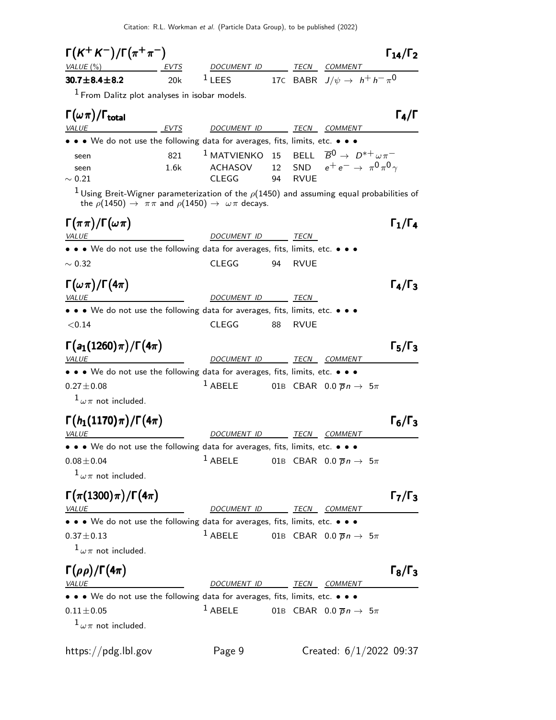Citation: R.L. Workman et al. (Particle Data Group), to be published (2022)

 $\Gamma(K^+ K^-)/\Gamma(\pi^+ \pi^-)$  Γ<sub>14</sub>/Γ<sub>2</sub>  $\Gamma_{14}/\Gamma_2$ VALUE (%) EVTS DOCUMENT ID TECN COMMENT 30.7 $\pm$ 8.4 $\pm$ 8.2 20k  $^1$  LEES 17C BABR J/ $\psi \rightarrow \;$   $h^+$   $h^ \pi^0$  $<sup>1</sup>$  From Dalitz plot analyses in isobar models.</sup>  $\Gamma(\omega \pi)/\Gamma_{\rm total}$  Γ<sub>4</sub>/Γ total  $\overline{4/1}$ VALUE  $EVTS$  DOCUMENT ID TECN COMMENT  $\bullet$  We do not use the following data for averages, fits, limits, etc.  $\bullet$ seen 821 <sup>1</sup> MATVIENKO 15 BELL  $\overline{B}^0 \to D^{*+} \omega \pi^$ seen 1.6k ACHASOV 12 SND e+ e− → π 0 π 0 γ  $\sim 0.21$  CLEGG 94 RVUE <sup>1</sup> Using Breit-Wigner parameterization of the  $\rho$ (1450) and assuming equal probabilities of the  $\rho(1450) \rightarrow \pi \pi$  and  $\rho(1450) \rightarrow \omega \pi$  decays.  $\Gamma(\pi\pi)/\Gamma(\omega\pi)$  Γ<sub>1</sub>/Γ<sub>4</sub>  $Γ_1/Γ_4$ VALUE DOCUMENT ID TECN • • • We do not use the following data for averages, fits, limits, etc. • • •  $~\sim 0.32$  CLEGG 94 RVUE  $\Gamma(\omega \pi)/\Gamma(4\pi)$   $\Gamma_4/\Gamma_3$ VALUE **DOCUMENT ID** TECN • • • We do not use the following data for averages, fits, limits, etc. • • • <0.14 CLEGG 88 RVUE  $\Gamma(a_1(1260) \pi)/\Gamma(4\pi)$  Γ<sub>5</sub>/Γ<sub>3</sub>  $\Gamma_5/\Gamma_3$ VALUE DOCUMENT ID TECN COMMENT • • • We do not use the following data for averages, fits, limits, etc. • • •  $0.27 \pm 0.08$  1 ABELE 01B CBAR  $0.0 \overline{p} n \rightarrow 5\pi$  $1\omega\pi$  not included.  $\Gamma(h_1(1170) \pi)/\Gamma(4\pi)$  Γ<sub>6</sub>/Γ<sub>3</sub> )/Γ $(4\pi)$  Γ<sub>6</sub>/Γ VALUE **ALUE COMMENT ID TECN COMMENT** • • • We do not use the following data for averages, fits, limits, etc. • • •  $0.08 \pm 0.04$  1 ABELE 01B CBAR  $0.0 \overline{p} n \rightarrow 5\pi$  $1\omega\pi$  not included.  $\Gamma(\pi(1300)\pi)/\Gamma(4\pi)$  Γ<sub>7</sub>/Γ<sub>3</sub>  $\Gamma_7/\Gamma_3$ VALUE **DOCUMENT ID** TECN COMMENT • • • We do not use the following data for averages, fits, limits, etc. • • •  $0.37 \pm 0.13$  1 ABELE 01B CBAR  $0.0 \overline{p} n \rightarrow 5\pi$  $1\omega\pi$  not included.  $\Gamma(\rho\rho)/\Gamma(4\pi)$  Γ<sub>8</sub>/Γ<sub>3</sub> 4π) Γ $_8$ /Γ VALUE **ALUE DOCUMENT ID TECN COMMENT** • • • We do not use the following data for averages, fits, limits, etc. • • •  $0.11 \pm 0.05$  1 ABELE 01B CBAR  $0.0 \overline{p} n \rightarrow 5\pi$  $1\omega\pi$  not included. https://pdg.lbl.gov Page 9 Created: 6/1/2022 09:37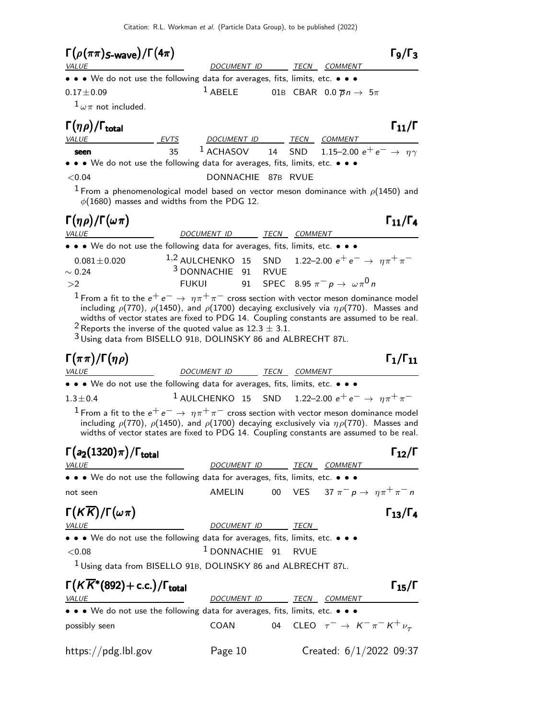Citation: R.L. Workman et al. (Particle Data Group), to be published (2022)

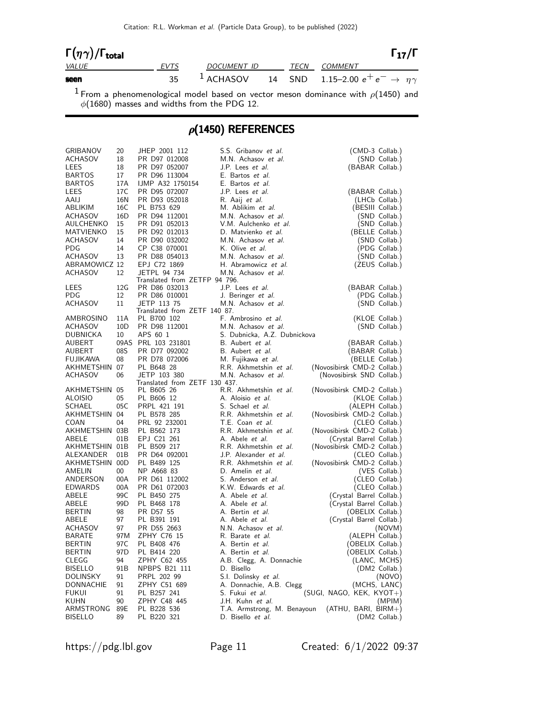Citation: R.L. Workman et al. (Particle Data Group), to be published (2022)

| $\Gamma(\eta\gamma)/\Gamma_{\rm total}$ |      |                                                                        |  |              | $\Gamma_{17}/\Gamma$ |
|-----------------------------------------|------|------------------------------------------------------------------------|--|--------------|----------------------|
| <i>VALUE</i>                            | EVTS | DOCUMENT ID                                                            |  | TECN COMMENT |                      |
| seen                                    |      | <sup>1</sup> ACHASOV 14 SND 1.15-2.00 $e^+e^- \rightarrow \eta \gamma$ |  |              |                      |

 $1$  From a phenomenological model based on vector meson dominance with  $\rho(1450)$  and  $\phi(1680)$  masses and widths from the PDG 12.

## $\rho$ (1450) REFERENCES

| GRIBANOV<br><b>ACHASOV</b><br>LEES<br>BARTOS | 20<br>18<br>18<br>17 | JHEP 2001 112<br>PR D97 012008<br>PR D97 052007<br>PR D96 113004 | S.S. Gribanov et al.<br>M.N. Achasov et al.<br>J.P. Lees <i>et al.</i><br>E. Bartos et al. | (CMD-3 Collab.)<br>(SND Collab.)<br>(BABAR Collab.) |
|----------------------------------------------|----------------------|------------------------------------------------------------------|--------------------------------------------------------------------------------------------|-----------------------------------------------------|
| BARTOS                                       | 17A                  | IJMP A32 1750154                                                 | E. Bartos et al.                                                                           |                                                     |
| LEES                                         | 17C                  | PR D95 072007                                                    | J.P. Lees et al.                                                                           | (BABAR Collab.)                                     |
| AAIJ                                         | 16N                  | PR D93 052018                                                    | R. Aaij <i>et al.</i>                                                                      | (LHCb Collab.)                                      |
| ABLIKIM                                      | 16C                  | PL B753 629                                                      | M. Ablikim et al.                                                                          | (BESIII Collab.)                                    |
| <b>ACHASOV</b>                               | 16D                  | PR D94 112001                                                    | M.N. Achasov et al.                                                                        | (SND Collab.)                                       |
| AULCHENKO                                    | 15                   | PR D91 052013                                                    | V.M. Aulchenko et al.                                                                      | (SND Collab.)                                       |
| MATVIENKO                                    | 15                   | PR D92 012013                                                    | D. Matvienko et al.                                                                        | (BELLE Collab.)                                     |
| ACHASOV                                      | 14                   | PR D90 032002                                                    | M.N. Achasov et al.                                                                        | (SND Collab.)                                       |
| PDG                                          | 14                   | CP C38 070001                                                    | K. Olive et al.                                                                            | (PDG Collab.)                                       |
| ACHASOV                                      | 13                   | PR D88 054013                                                    | M.N. Achasov et al.                                                                        | (SND Collab.)                                       |
| ABRAMOWICZ 12                                |                      | EPJ C72 1869                                                     | H. Abramowicz et al.                                                                       | (ZEUS Collab.)                                      |
| ACHASOV                                      | 12                   | JETPL 94 734                                                     | M.N. Achasov et al.                                                                        |                                                     |
|                                              |                      | Translated from ZETFP 94 796.                                    |                                                                                            |                                                     |
| LEES                                         | 12G                  | PR D86 032013                                                    | J.P. Lees et al.                                                                           | (BABAR Collab.)                                     |
| PDG                                          | 12                   | PR D86 010001                                                    | J. Beringer et al.                                                                         | (PDG Collab.)                                       |
| <b>ACHASOV</b>                               | 11                   | JETP 113 75                                                      | M.N. Achasov et al.                                                                        | (SND Collab.)                                       |
|                                              |                      | Translated from ZETF 140 87.                                     |                                                                                            |                                                     |
| AMBROSINO                                    | 11A                  | PL B700 102                                                      | F. Ambrosino et al.                                                                        | (KLOE Collab.)                                      |
| ACHASOV                                      | 10D                  | PR D98 112001                                                    | M.N. Achasov et al.                                                                        | (SND Collab.)                                       |
| DUBNICKA                                     | 10                   | APS 60 1                                                         | S. Dubnicka, A.Z. Dubnickova                                                               |                                                     |
| AUBERT                                       |                      | 09AS PRL 103 231801                                              | B. Aubert et al.                                                                           | (BABAR Collab.)                                     |
| AUBERT                                       | 08S                  | PR D77 092002                                                    | B. Aubert et al.                                                                           | (BABAR Collab.)                                     |
| FUJIKAWA                                     | 08                   | PR D78 072006                                                    | M. Fujikawa et al.                                                                         | (BELLE Collab.)                                     |
| AKHMETSHIN 07                                |                      | PL B648 28                                                       | R.R. Akhmetshin et al.                                                                     | (Novosibirsk CMD-2 Collab.)                         |
| ACHASOV                                      | 06                   | JETP 103 380                                                     | M.N. Achasov et al.                                                                        | (Novosibirsk SND Collab.)                           |
|                                              |                      | Translated from ZETF 130 437.                                    |                                                                                            |                                                     |
| AKHMETSHIN 05                                |                      | PL B605 26                                                       | R.R. Akhmetshin et al.                                                                     | (Novosibirsk CMD-2 Collab.)                         |
| ALOISIO                                      | 05                   | PL B606 12                                                       | A. Aloisio et al.                                                                          | (KLOE Collab.)                                      |
| SCHAEL                                       | 05C                  | PRPL 421 191                                                     | S. Schael et al.                                                                           | (ALEPH Collab.)                                     |
| AKHMETSHIN 04                                |                      | PL B578 285                                                      | R.R. Akhmetshin et al.                                                                     | (Novosibirsk CMD-2 Collab.)                         |
| COAN                                         | 04                   | PRL 92 232001                                                    | T.E. Coan et al.                                                                           | (CLEO Collab.)                                      |
| AKHMETSHIN 03B                               |                      | PL B562 173                                                      | R.R. Akhmetshin et al.                                                                     | (Novosibirsk CMD-2 Collab.)                         |
| ABELE                                        | 01B                  | EPJ C21 261                                                      | A. Abele et al.                                                                            | (Crystal Barrel Collab.)                            |
| AKHMETSHIN 01B                               |                      | PL B509 217                                                      | R.R. Akhmetshin et al.                                                                     | (Novosibirsk CMD-2 Collab.)                         |
| ALEXANDER                                    | 01 <sub>B</sub>      | PR D64 092001                                                    | J.P. Alexander et al.                                                                      | (CLEO Collab.)                                      |
| AKHMETSHIN 00D                               |                      | PL B489 125                                                      | R.R. Akhmetshin et al.                                                                     | (Novosibirsk CMD-2 Collab.)                         |
| AMELIN                                       | $00-1$               | NP A668 83                                                       | D. Amelin et al.                                                                           | (VES Collab.)                                       |
| ANDERSON                                     | 00A                  | PR D61 112002                                                    | S. Anderson et al.                                                                         | (CLEO Collab.)                                      |
| <b>EDWARDS</b>                               | 00A                  | PR D61 072003                                                    | K.W. Edwards et al.                                                                        | (CLEO Collab.)                                      |
| ABELE                                        | 99C                  | PL B450 275                                                      | A. Abele <i>et al.</i>                                                                     | (Crystal Barrel Collab.)                            |
| ABELE                                        | 99D                  | PL B468 178                                                      | A. Abele <i>et al.</i>                                                                     | (Crystal Barrel Collab.)                            |
| BERTIN                                       | 98                   | PR D57 55                                                        | A. Bertin et al.                                                                           | (OBELIX Collab.)                                    |
| ABELE                                        | 97                   | PL B391 191                                                      | A. Abele <i>et al.</i>                                                                     | (Crystal Barrel Collab.)                            |
| ACHASOV                                      | 97                   | PR D55 2663                                                      | N.N. Achasov et al.                                                                        | (NOVM)                                              |
| BARATE                                       | 97 M                 | ZPHY C76 15                                                      | R. Barate <i>et al.</i>                                                                    | (ALEPH Collab.)                                     |
| BERTIN                                       | 97 C                 | PL B408 476                                                      | A. Bertin <i>et al.</i>                                                                    | (OBELIX Collab.)                                    |
| BERTIN                                       | 97D                  | PL B414 220                                                      | A. Bertin <i>et al.</i>                                                                    | (OBELIX Collab.)                                    |
| CLEGG                                        | 94                   | ZPHY C62 455                                                     | A.B. Clegg, A. Donnachie                                                                   | (LANC, MCHS)                                        |
| <b>BISELLO</b>                               | 91B                  | NPBPS B21 111                                                    | D. Bisello                                                                                 | (DM2 Collab.)                                       |
| DOLINSKY                                     | 91                   | PRPL 202 99                                                      | S.I. Dolinsky et al.                                                                       | (NOVO)                                              |
| DONNACHIE                                    | 91                   | ZPHY C51 689                                                     | A. Donnachie, A.B. Clegg                                                                   | (MCHS, LANC)                                        |
| FUKUI                                        | 91                   | PL B257 241                                                      | S. Fukui et al.                                                                            | (SUGI, NAGO, KEK, KYOT+)                            |
| KUHN                                         | 90                   | ZPHY C48 445                                                     | J.H. Kuhn et al.                                                                           | (MPIM)                                              |
| ARMSTRONG                                    | 89E                  | PL B228 536                                                      |                                                                                            | $(ATHU, BARI, BIRM+)$                               |
| <b>BISELLO</b>                               | 89                   | PL B220 321                                                      | T.A. Armstrong, M. Benayoun<br>D. Bisello et al.                                           | (DM2 Collab.)                                       |
|                                              |                      |                                                                  |                                                                                            |                                                     |

https://pdg.lbl.gov Page 11 Created: 6/1/2022 09:37